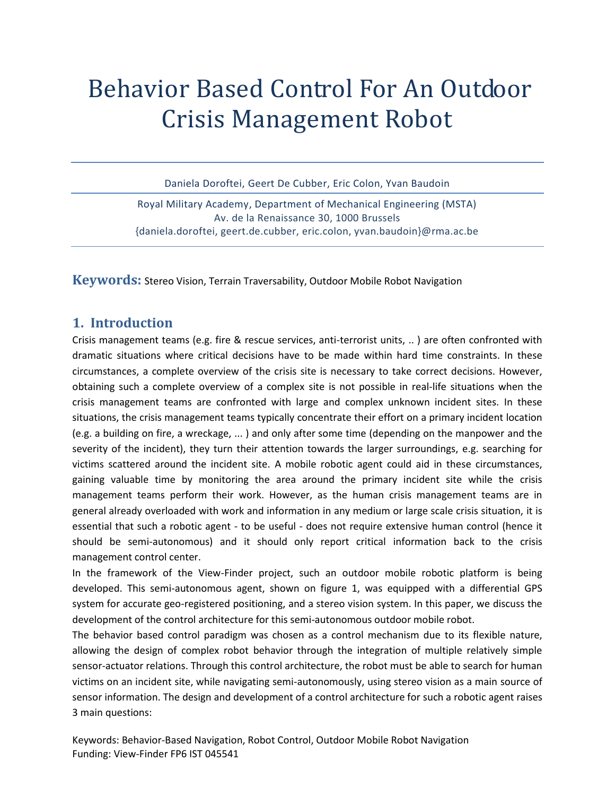# Behavior Based Control For An Outdoor Crisis Management Robot

Daniela Doroftei, Geert De Cubber, Eric Colon, Yvan Baudoin

Royal Military Academy, Department of Mechanical Engineering (MSTA) Av. de la Renaissance 30, 1000 Brussels [{daniela.doroftei, geert.de.cubber, eric.colon, yvan.baudoin}@rma.ac.be](mailto:daniela.doroftei,%20geert.de.cubber,%20eric.colon,%20yvan.baudoin%7D@rma.ac.be)

**Keywords:** Stereo Vision, Terrain Traversability, Outdoor Mobile Robot Navigation

# **1. Introduction**

Crisis management teams (e.g. fire & rescue services, anti-terrorist units, .. ) are often confronted with dramatic situations where critical decisions have to be made within hard time constraints. In these circumstances, a complete overview of the crisis site is necessary to take correct decisions. However, obtaining such a complete overview of a complex site is not possible in real-life situations when the crisis management teams are confronted with large and complex unknown incident sites. In these situations, the crisis management teams typically concentrate their effort on a primary incident location (e.g. a building on fire, a wreckage, ... ) and only after some time (depending on the manpower and the severity of the incident), they turn their attention towards the larger surroundings, e.g. searching for victims scattered around the incident site. A mobile robotic agent could aid in these circumstances, gaining valuable time by monitoring the area around the primary incident site while the crisis management teams perform their work. However, as the human crisis management teams are in general already overloaded with work and information in any medium or large scale crisis situation, it is essential that such a robotic agent - to be useful - does not require extensive human control (hence it should be semi-autonomous) and it should only report critical information back to the crisis management control center.

In the framework of the View-Finder project, such an outdoor mobile robotic platform is being developed. This semi-autonomous agent, shown on figure 1, was equipped with a differential GPS system for accurate geo-registered positioning, and a stereo vision system. In this paper, we discuss the development of the control architecture for this semi-autonomous outdoor mobile robot.

The behavior based control paradigm was chosen as a control mechanism due to its flexible nature, allowing the design of complex robot behavior through the integration of multiple relatively simple sensor-actuator relations. Through this control architecture, the robot must be able to search for human victims on an incident site, while navigating semi-autonomously, using stereo vision as a main source of sensor information. The design and development of a control architecture for such a robotic agent raises 3 main questions:

Keywords: Behavior-Based Navigation, Robot Control, Outdoor Mobile Robot Navigation Funding: View-Finder FP6 IST 045541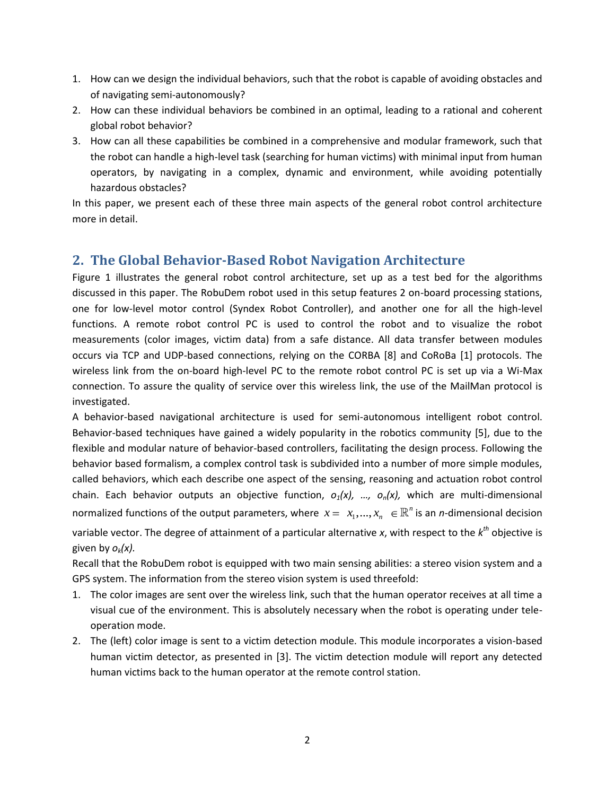- 1. How can we design the individual behaviors, such that the robot is capable of avoiding obstacles and of navigating semi-autonomously?
- 2. How can these individual behaviors be combined in an optimal, leading to a rational and coherent global robot behavior?
- 3. How can all these capabilities be combined in a comprehensive and modular framework, such that the robot can handle a high-level task (searching for human victims) with minimal input from human operators, by navigating in a complex, dynamic and environment, while avoiding potentially hazardous obstacles?

In this paper, we present each of these three main aspects of the general robot control architecture more in detail.

# **2. The Global Behavior-Based Robot Navigation Architecture**

Figure 1 illustrates the general robot control architecture, set up as a test bed for the algorithms discussed in this paper. The RobuDem robot used in this setup features 2 on-board processing stations, one for low-level motor control (Syndex Robot Controller), and another one for all the high-level functions. A remote robot control PC is used to control the robot and to visualize the robot measurements (color images, victim data) from a safe distance. All data transfer between modules occurs via TCP and UDP-based connections, relying on the CORBA [\[8\]](#page-7-0) and CoRoBa [\[1\]](#page-7-1) protocols. The wireless link from the on-board high-level PC to the remote robot control PC is set up via a Wi-Max connection. To assure the quality of service over this wireless link, the use of the MailMan protocol is investigated.

A behavior-based navigational architecture is used for semi-autonomous intelligent robot control. Behavior-based techniques have gained a widely popularity in the robotics community [\[5\],](#page-7-2) due to the flexible and modular nature of behavior-based controllers, facilitating the design process. Following the behavior based formalism, a complex control task is subdivided into a number of more simple modules, called behaviors, which each describe one aspect of the sensing, reasoning and actuation robot control chain. Each behavior outputs an objective function, *o1(x), …, on(x),* which are multi-dimensional normalized functions of the output parameters, where  $x = [x_1,...,x_n] \in \mathbb{R}^n$  $x = x_1, ..., x_n \in \mathbb{R}^n$  is an *n*-dimensional decision variable vector. The degree of attainment of a particular alternative *x*, with respect to the *k th* objective is given by  $o_k(x)$ .

Recall that the RobuDem robot is equipped with two main sensing abilities: a stereo vision system and a GPS system. The information from the stereo vision system is used threefold:

- 1. The color images are sent over the wireless link, such that the human operator receives at all time a visual cue of the environment. This is absolutely necessary when the robot is operating under teleoperation mode.
- 2. The (left) color image is sent to a victim detection module. This module incorporates a vision-based human victim detector, as presented in [\[3\].](#page-7-3) The victim detection module will report any detected human victims back to the human operator at the remote control station.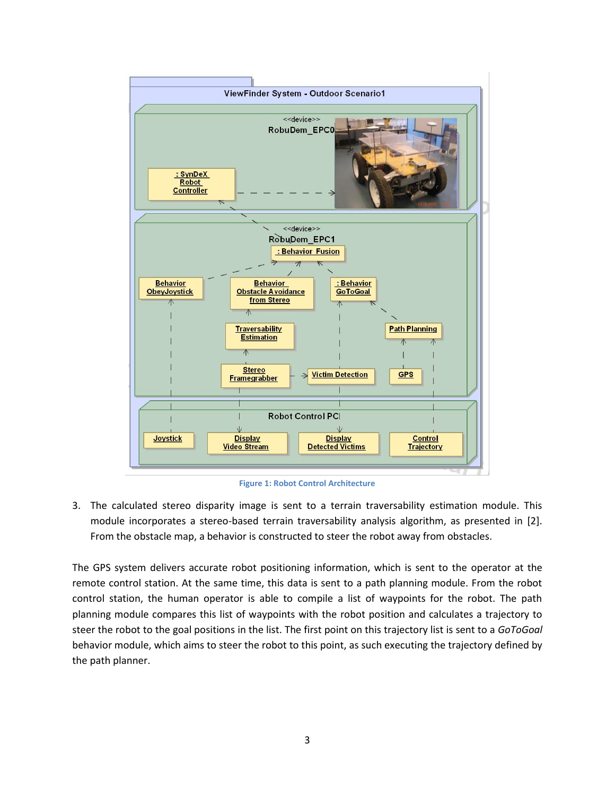

**Figure 1: Robot Control Architecture**

3. The calculated stereo disparity image is sent to a terrain traversability estimation module. This module incorporates a stereo-based terrain traversability analysis algorithm, as presented in [\[2\].](#page-7-4) From the obstacle map, a behavior is constructed to steer the robot away from obstacles.

The GPS system delivers accurate robot positioning information, which is sent to the operator at the remote control station. At the same time, this data is sent to a path planning module. From the robot control station, the human operator is able to compile a list of waypoints for the robot. The path planning module compares this list of waypoints with the robot position and calculates a trajectory to steer the robot to the goal positions in the list. The first point on this trajectory list is sent to a *GoToGoal*  behavior module, which aims to steer the robot to this point, as such executing the trajectory defined by the path planner.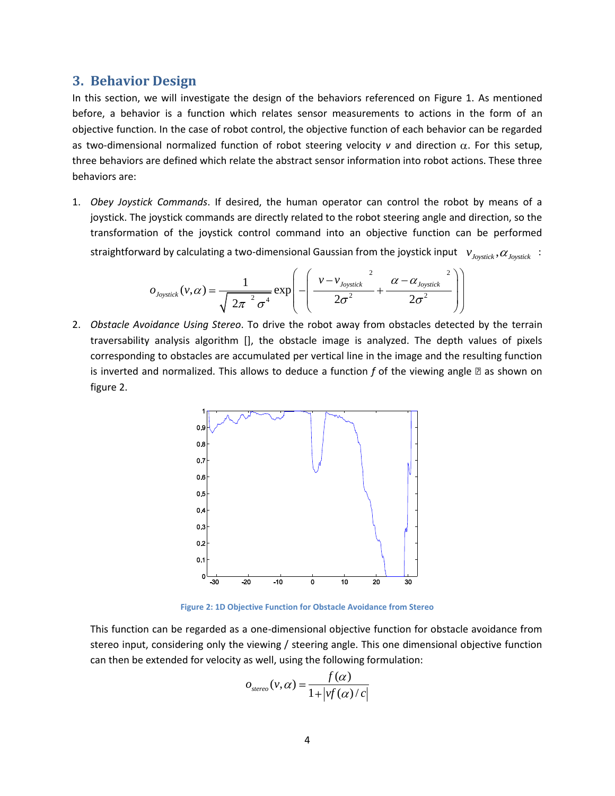## **3. Behavior Design**

In this section, we will investigate the design of the behaviors referenced on Figure 1. As mentioned before, a behavior is a function which relates sensor measurements to actions in the form of an objective function. In the case of robot control, the objective function of each behavior can be regarded as two-dimensional normalized function of robot steering velocity  $v$  and direction  $\alpha$ . For this setup, three behaviors are defined which relate the abstract sensor information into robot actions. These three behaviors are:

1. *Obey Joystick Commands*. If desired, the human operator can control the robot by means of a joystick. The joystick commands are directly related to the robot steering angle and direction, so the transformation of the joystick control command into an objective function can be performed

straightforward by calculating a two-dimensional Gaussian from the joystick input 
$$
v_{Joystick}
$$
,  $\alpha_{Joystick}$ :  

$$
o_{Joystick}(v, \alpha) = \frac{1}{\sqrt{2\pi^2 \sigma^4}} exp\left(-\left(\frac{v - v_{Joystick}}{2\sigma^2} + \frac{\alpha - \alpha_{Joystick}}{2\sigma^2}\right)\right)
$$

2. *Obstacle Avoidance Using Stereo*. To drive the robot away from obstacles detected by the terrain traversability analysis algorithm [], the obstacle image is analyzed. The depth values of pixels corresponding to obstacles are accumulated per vertical line in the image and the resulting function is inverted and normalized. This allows to deduce a function  $f$  of the viewing angle  $\mathbb Z$  as shown on figure 2.



**Figure 2: 1D Objective Function for Obstacle Avoidance from Stereo**

This function can be regarded as a one-dimensional objective function for obstacle avoidance from stereo input, considering only the viewing / steering angle. This one dimensional objective function can then be extended for velocity as well, using the following formulation:

$$
o_{\text{stereo}}(v,\alpha) = \frac{f(\alpha)}{1+|vf(\alpha)/c|}
$$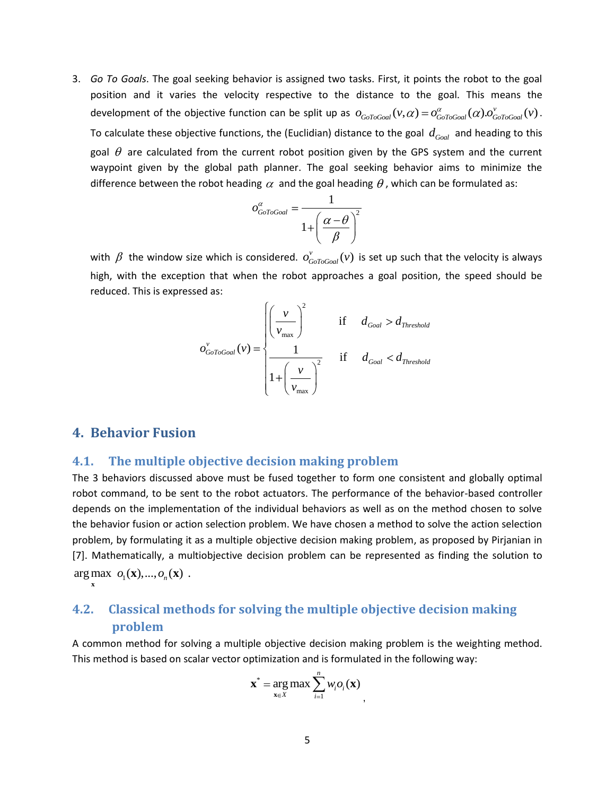3. *Go To Goals*. The goal seeking behavior is assigned two tasks. First, it points the robot to the goal position and it varies the velocity respective to the distance to the goal. This means the position and it varies the velocity respective to the distance to the goal. This means the development of the objective function can be split up as  $o_{G \circ T o G o a l} (v, \alpha) = o_{G \circ T o G o a l}^{\alpha} (\alpha) . o_{G \circ T o G o a l}^{\nu} (v)$ . To calculate these objective functions, the (Euclidian) distance to the goal  $d_{\textit{Goal}}$  and heading to this goal  $\theta$  are calculated from the current robot position given by the GPS system and the current waypoint given by the global path planner. The goal seeking behavior aims to minimize the difference between the robot heading  $\alpha$  and the goal heading  $\theta$ , which can be formulated as:

$$
o_{G \circ T o G o a l}^{\alpha} = \frac{1}{1 + \left(\frac{\alpha - \theta}{\beta}\right)^2}
$$

with  $\beta$  the window size which is considered.  $o_{GoToGoal}^v(v)$  is set up such that the velocity is always high, with the exception that when the robot approaches a goal position, the speed should be reduced. This is expressed as:

$$
o_{GoToGoal}^{v}(v) = \begin{cases} \left(\frac{v}{v_{\text{max}}}\right)^2 & \text{if } d_{Goal} > d_{Threshold} \\ \frac{1}{1 + \left(\frac{v}{v_{\text{max}}}\right)^2} & \text{if } d_{Goal} < d_{Threshold} \\ \end{cases}
$$

## **4. Behavior Fusion**

### **4.1. The multiple objective decision making problem**

The 3 behaviors discussed above must be fused together to form one consistent and globally optimal robot command, to be sent to the robot actuators. The performance of the behavior-based controller depends on the implementation of the individual behaviors as well as on the method chosen to solve the behavior fusion or action selection problem. We have chosen a method to solve the action selection problem, by formulating it as a multiple objective decision making problem, as proposed by Pirjanian in [\[7\].](#page-7-5) Mathematically, a multiobjective decision problem can be represented as finding the solution to  $\log \max_{\mathbf{O}_{\mathbf{I}}} \mathbf{O}_{\mathbf{I}}(\mathbf{x}),...,\mathbf{O}_{n}(\mathbf{x})$ .

#### **x**

# **4.2. Classical methods for solving the multiple objective decision making problem**

A common method for solving a multiple objective decision making problem is the weighting method. This method is based on scalar vector optimization and is formulated in the following way:

$$
\mathbf{x}^* = \arg_{\mathbf{x} \in X} \max \sum_{i=1}^n w_i o_i(\mathbf{x})
$$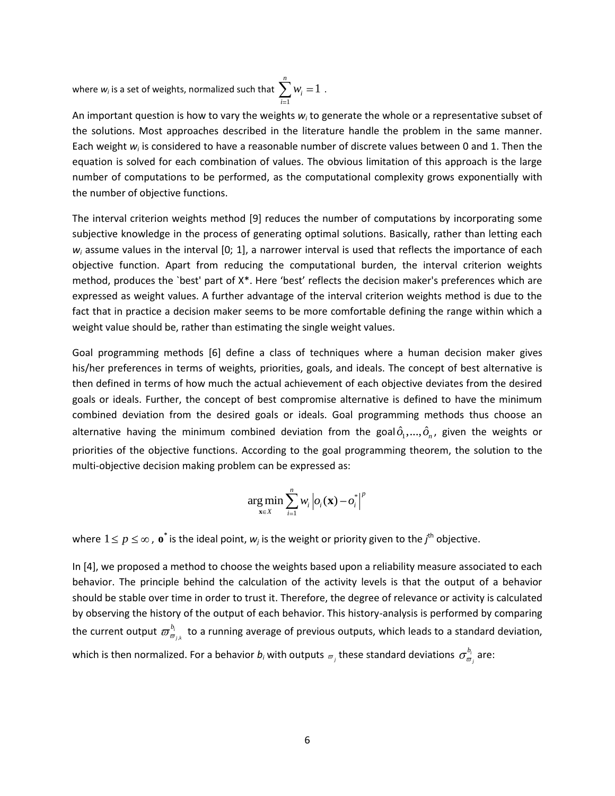where  $w_i$  is a set of weights, normalized such that  $\sum w_i = 1$ 1 *n*  $w_i = 1$ . *i*

An important question is how to vary the weights *w<sup>i</sup>* to generate the whole or a representative subset of the solutions. Most approaches described in the literature handle the problem in the same manner. Each weight  $w_i$  is considered to have a reasonable number of discrete values between 0 and 1. Then the equation is solved for each combination of values. The obvious limitation of this approach is the large number of computations to be performed, as the computational complexity grows exponentially with the number of objective functions.

The interval criterion weights method [\[9\]](#page-7-6) reduces the number of computations by incorporating some subjective knowledge in the process of generating optimal solutions. Basically, rather than letting each *w<sup>i</sup>* assume values in the interval [0; 1], a narrower interval is used that reflects the importance of each objective function. Apart from reducing the computational burden, the interval criterion weights method, produces the `best' part of X\*. Here 'best' reflects the decision maker's preferences which are expressed as weight values. A further advantage of the interval criterion weights method is due to the fact that in practice a decision maker seems to be more comfortable defining the range within which a weight value should be, rather than estimating the single weight values.

Goal programming methods [\[6\]](#page-7-7) define a class of techniques where a human decision maker gives his/her preferences in terms of weights, priorities, goals, and ideals. The concept of best alternative is then defined in terms of how much the actual achievement of each objective deviates from the desired goals or ideals. Further, the concept of best compromise alternative is defined to have the minimum combined deviation from the desired goals or ideals. Goal programming methods thus choose an alternative having the minimum combined deviation from the goal $\hat{\omega}_1, ..., \hat{\omega}_n$ , given the weights or priorities of the objective functions. According to the goal programming theorem, the solution to the multi-objective decision making problem can be expressed as:

$$
\arg\min_{\mathbf{x}\in X} \sum_{i=1}^n w_i \left| o_i(\mathbf{x}) - o_i^* \right|^p
$$

where  $1 \leq p \leq \infty$  ,  $\mathbf{o}^*$  is the ideal point,  $w_j$  is the weight or priority given to the  $j^{\text{th}}$  objective.

In [\[4\],](#page-7-8) we proposed a method to choose the weights based upon a reliability measure associated to each behavior. The principle behind the calculation of the activity levels is that the output of a behavior should be stable over time in order to trust it. Therefore, the degree of relevance or activity is calculated by observing the history of the output of each behavior. This history-analysis is performed by comparing the current output  $\varpi_{\varpi_{j,}}^{\scriptscriptstyle \vartheta_i}$ *i j k b*<sub>i</sub> to a running average of previous outputs, which leads to a standard deviation, which is then normalized. For a behavior  $b_i$  with outputs  $\pi_j$  these standard deviations  $\sigma^{v_i}_\varpi$  $\frac{b_i}{\sigma}$  are:

*j*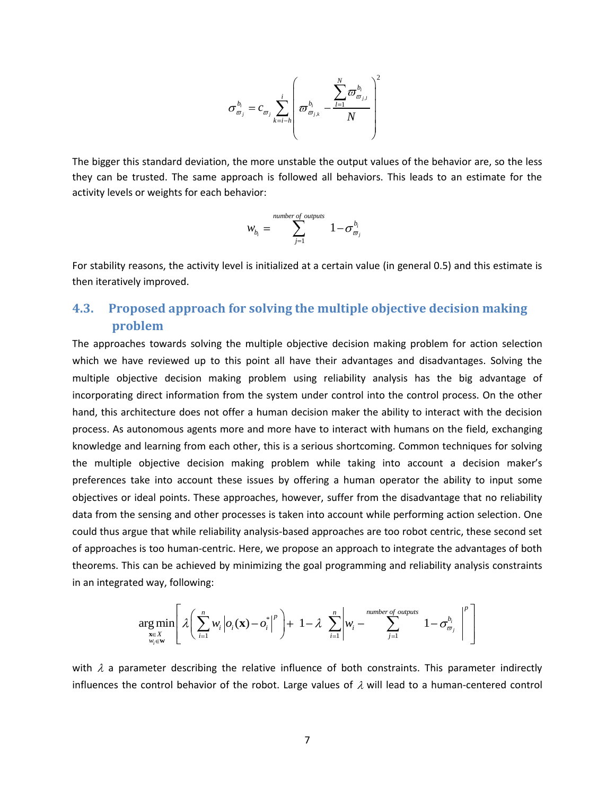$$
\sigma^{b_i}_{\varpi_j}=c_{\varpi_j}\sum_{k=i-h}^{i}\left(\varpi^{b_i}_{\varpi_{j,k}}-\frac{\displaystyle\sum_{l=1}^{N}\varpi^{b_i}_{\varpi_{j,l}}}{N}\right)^2
$$

The bigger this standard deviation, the more unstable the output values of the behavior are, so the less they can be trusted. The same approach is followed all behaviors. This leads to an estimate for the activity levels or weights for each behavior:

$$
w_{b_i} = \sum_{j=1}^{number\ of\ outputs} 1 - \sigma_{\varpi_j}^{b_i}
$$

For stability reasons, the activity level is initialized at a certain value (in general 0.5) and this estimate is then iteratively improved.

# **4.3. Proposed approach for solving the multiple objective decision making problem**

The approaches towards solving the multiple objective decision making problem for action selection which we have reviewed up to this point all have their advantages and disadvantages. Solving the multiple objective decision making problem using reliability analysis has the big advantage of incorporating direct information from the system under control into the control process. On the other hand, this architecture does not offer a human decision maker the ability to interact with the decision process. As autonomous agents more and more have to interact with humans on the field, exchanging knowledge and learning from each other, this is a serious shortcoming. Common techniques for solving the multiple objective decision making problem while taking into account a decision maker's preferences take into account these issues by offering a human operator the ability to input some objectives or ideal points. These approaches, however, suffer from the disadvantage that no reliability data from the sensing and other processes is taken into account while performing action selection. One could thus argue that while reliability analysis-based approaches are too robot centric, these second set of approaches is too human-centric. Here, we propose an approach to integrate the advantages of both theorems. This can be achieved by minimizing the goal programming and reliability analysis constraints in an integrated way, following:

d way, following:  
\n
$$
\underset{\substack{\mathbf{x}\in X\\w_i\in \mathbf{w}}}{\arg \min} \left[ \lambda \left( \sum_{i=1}^n w_i \left| o_i(\mathbf{x}) - o_i^* \right|^p \right) + 1 - \lambda \sum_{i=1}^n \left| w_i - \sum_{j=1}^{\text{number of outputs}} 1 - \sigma_{\varpi_j}^{b_i} \right|^p \right]
$$

with  $\lambda$  a parameter describing the relative influence of both constraints. This parameter indirectly influences the control behavior of the robot. Large values of  $\lambda$  will lead to a human-centered control